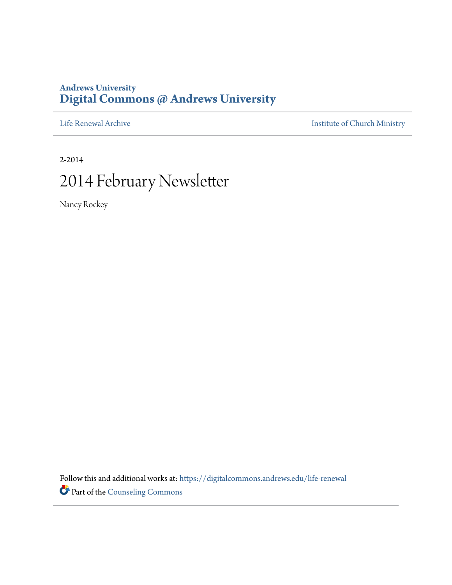### **Andrews University [Digital Commons @ Andrews University](https://digitalcommons.andrews.edu/?utm_source=digitalcommons.andrews.edu%2Flife-renewal%2F1&utm_medium=PDF&utm_campaign=PDFCoverPages)**

[Life Renewal Archive](https://digitalcommons.andrews.edu/life-renewal?utm_source=digitalcommons.andrews.edu%2Flife-renewal%2F1&utm_medium=PDF&utm_campaign=PDFCoverPages) **[Institute of Church Ministry](https://digitalcommons.andrews.edu/icm?utm_source=digitalcommons.andrews.edu%2Flife-renewal%2F1&utm_medium=PDF&utm_campaign=PDFCoverPages)** 

2-2014 2014 February Newsletter

Nancy Rockey

Follow this and additional works at: [https://digitalcommons.andrews.edu/life-renewal](https://digitalcommons.andrews.edu/life-renewal?utm_source=digitalcommons.andrews.edu%2Flife-renewal%2F1&utm_medium=PDF&utm_campaign=PDFCoverPages) Part of the [Counseling Commons](http://network.bepress.com/hgg/discipline/1268?utm_source=digitalcommons.andrews.edu%2Flife-renewal%2F1&utm_medium=PDF&utm_campaign=PDFCoverPages)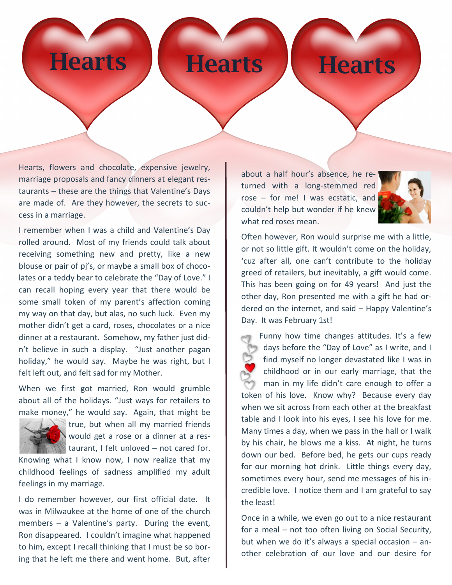# Hearts **Hearts Hearts**

# **Hearts**

Hearts, flowers and chocolate, expensive jewelry, marriage proposals and fancy dinners at elegant restaurants – these are the things that Valentine's Days are made of. Are they however, the secrets to success in a marriage.

I remember when I was a child and Valentine's Day rolled around. Most of my friends could talk about receiving something new and pretty, like a new blouse or pair of pj's, or maybe a small box of chocolates or a teddy bear to celebrate the "Day of Love." I can recall hoping every year that there would be some small token of my parent's affection coming my way on that day, but alas, no such luck. Even my mother didn't get a card, roses, chocolates or a nice dinner at a restaurant. Somehow, my father just didn't believe in such a display. "Just another pagan holiday," he would say. Maybe he was right, but I felt left out, and felt sad for my Mother.

When we first got married, Ron would grumble about all of the holidays. "Just ways for retailers to make money," he would say. Again, that might be



true, but when all my married friends would get a rose or a dinner at a res- $\mathbb{N}$  taurant, I felt unloved – not cared for.

Knowing what I know now, I now realize that my childhood feelings of sadness amplified my adult feelings in my marriage.

I do remember however, our first official date. It was in Milwaukee at the home of one of the church members – a Valentine's party. During the event, Ron disappeared. I couldn't imagine what happened to him, except I recall thinking that I must be so boring that he left me there and went home. But, after

about a half hour's absence, he returned with a long-stemmed red rose – for me! I was ecstatic, and couldn't help but wonder if he knew what red roses mean.



Often however, Ron would surprise me with a little, or not so little gift. It wouldn't come on the holiday, 'cuz after all, one can't contribute to the holiday greed of retailers, but inevitably, a gift would come. This has been going on for 49 years! And just the other day, Ron presented me with a gift he had ordered on the internet, and said – Happy Valentine's Day. It was February 1st!

 Funny how time changes attitudes. It's a few days before the "Day of Love" as I write, and I find myself no longer devastated like I was in childhood or in our early marriage, that the man in my life didn't care enough to offer a token of his love. Know why? Because every day when we sit across from each other at the breakfast table and I look into his eyes, I see his love for me. Many times a day, when we pass in the hall or I walk by his chair, he blows me a kiss. At night, he turns down our bed. Before bed, he gets our cups ready for our morning hot drink. Little things every day, sometimes every hour, send me messages of his incredible love. I notice them and I am grateful to say the least!

Once in a while, we even go out to a nice restaurant for a meal – not too often living on Social Security, but when we do it's always a special occasion  $-$  another celebration of our love and our desire for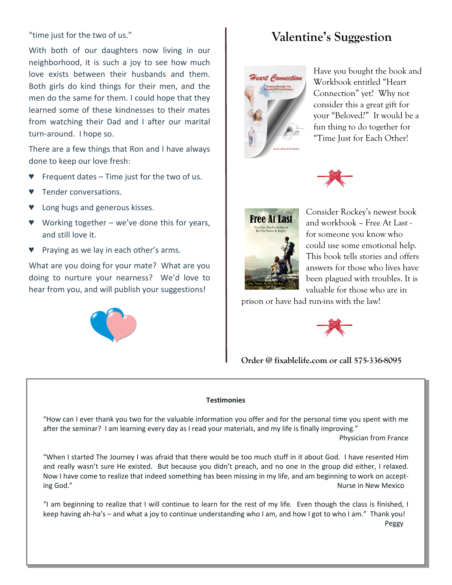"time just for the two of us."

With both of our daughters now living in our neighborhood, it is such a joy to see how much love exists between their husbands and them. Both girls do kind things for their men, and the men do the same for them. I could hope that they learned some of these kindnesses to their mates from watching their Dad and I after our marital turn-around. I hope so.

There are a few things that Ron and I have always done to keep our love fresh:

- Frequent dates  $-$  Time just for the two of us.
- Tender conversations.
- Long hugs and generous kisses.
- ♥ Working together we've done this for years, and still love it.
- ♥ Praying as we lay in each other's arms.

What are you doing for your mate? What are you doing to nurture your nearness? We'd love to hear from you, and will publish your suggestions!



# **Valentine's Suggestion**



Have you bought the book and Workbook entitled "Heart Connection" yet? Why not consider this a great gift for your "Beloved?" It would be a fun thing to do together for "Time Just for Each Other!





Consider Rockey's newest book and workbook – Free At Last for someone you know who could use some emotional help. This book tells stories and offers answers for those who lives have been plagued with troubles. It is valuable for those who are in

prison or have had run-ins with the law!



**Order @ fixablelife.com or call 575-336-8095** 

#### **Testimonies**

"How can I ever thank you two for the valuable information you offer and for the personal time you spent with me after the seminar? I am learning every day as I read your materials, and my life is finally improving."

Physician from France

"When I started The Journey I was afraid that there would be too much stuff in it about God. I have resented Him and really wasn't sure He existed. But because you didn't preach, and no one in the group did either, I relaxed. Now I have come to realize that indeed something has been missing in my life, and am beginning to work on accepting God." Nurse in New Mexico and the United States of the United States of the New Mexico and Nurse in New Mexico

"I am beginning to realize that I will continue to learn for the rest of my life. Even though the class is finished, I keep having ah-ha's – and what a joy to continue understanding who I am, and how I got to who I am." Thank you! Peggy and the contract of the contract of the contract of the contract of the contract of the contract of the contract of the contract of the contract of the contract of the contract of the contract of the contract of the